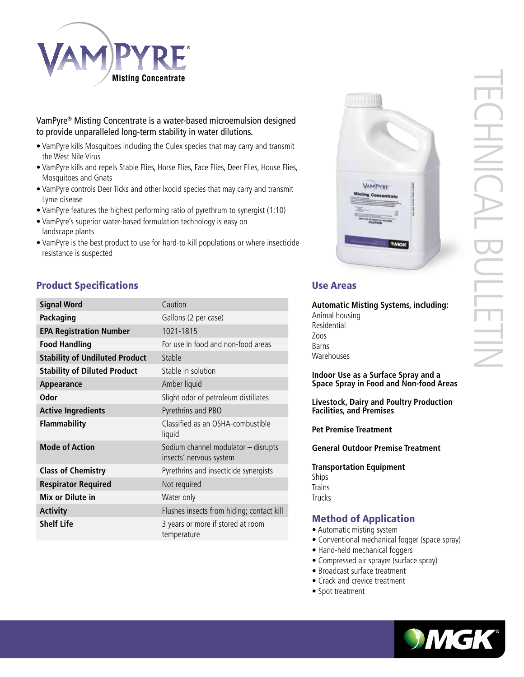

## VamPyre® Misting Concentrate is a water-based microemulsion designed to provide unparalleled long-term stability in water dilutions.

- VamPyre kills Mosquitoes including the Culex species that may carry and transmit the West Nile Virus
- VamPyre kills and repels Stable Flies, Horse Flies, Face Flies, Deer Flies, House Flies, Mosquitoes and Gnats
- VamPyre controls Deer Ticks and other lxodid species that may carry and transmit Lyme disease
- VamPyre features the highest performing ratio of pyrethrum to synergist (1:10)
- VamPyre's superior water-based formulation technology is easy on landscape plants
- VamPyre is the best product to use for hard-to-kill populations or where insecticide resistance is suspected

# **Product Specifications Contract Areas Areas Areas Areas Areas Areas Areas Areas Areas Areas Areas Areas Areas**

| <b>Signal Word</b>                    | Caution                                                        |
|---------------------------------------|----------------------------------------------------------------|
| Packaging                             | Gallons (2 per case)                                           |
| <b>EPA Registration Number</b>        | 1021-1815                                                      |
| <b>Food Handling</b>                  | For use in food and non-food areas                             |
| <b>Stability of Undiluted Product</b> | Stable                                                         |
| <b>Stability of Diluted Product</b>   | Stable in solution                                             |
| Appearance                            | Amber liquid                                                   |
| <b>Odor</b>                           | Slight odor of petroleum distillates                           |
| <b>Active Ingredients</b>             | Pyrethrins and PBO                                             |
| <b>Flammability</b>                   | Classified as an OSHA-combustible<br>liquid                    |
| <b>Mode of Action</b>                 | Sodium channel modulator - disrupts<br>insects' nervous system |
| <b>Class of Chemistry</b>             | Pyrethrins and insecticide synergists                          |
| <b>Respirator Required</b>            | Not required                                                   |
| Mix or Dilute in                      | Water only                                                     |
| <b>Activity</b>                       | Flushes insects from hiding; contact kill                      |
| <b>Shelf Life</b>                     | 3 years or more if stored at room<br>temperature               |



# TECHNICAL BULLETIN HNICAL  $=$

**Automatic Misting Systems, including:** Animal housing Residential Zoos Barns **Warehouses** 

### **Indoor Use as a Surface Spray and a Space Spray in Food and Non-food Areas**

**Livestock, Dairy and Poultry Production Facilities, and Premises**

**Pet Premise Treatment**

**General Outdoor Premise Treatment**

**Transportation Equipment** Ships **Trains Trucks** 

# Method of Application

- Automatic misting system
- Conventional mechanical fogger (space spray)
- Hand-held mechanical foggers
- Compressed air sprayer (surface spray)
- Broadcast surface treatment
- Crack and crevice treatment
- Spot treatment